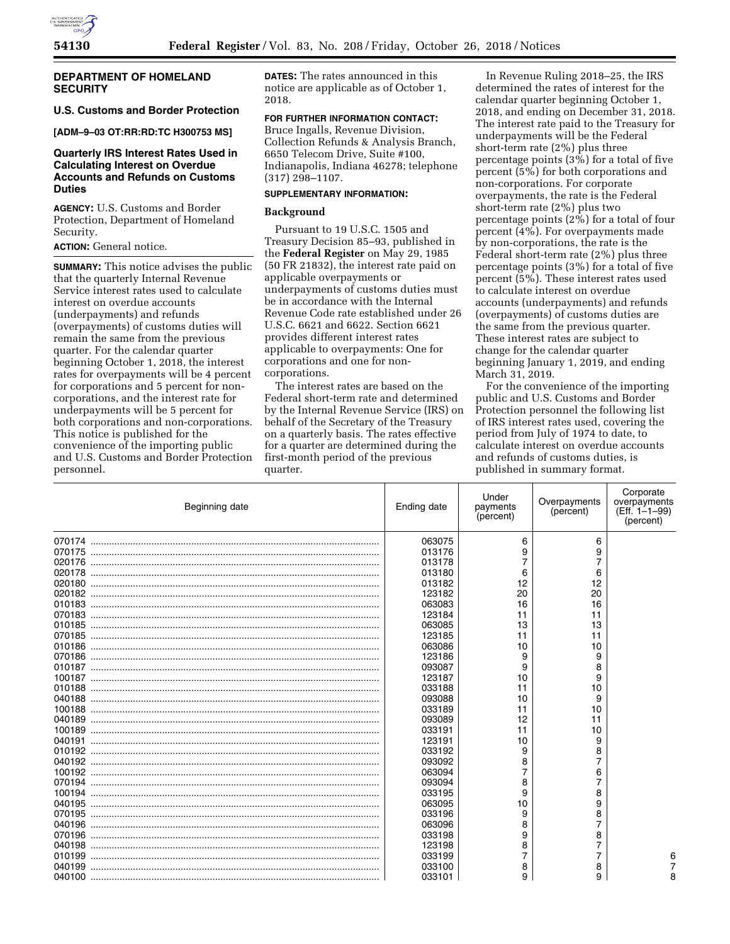

# **DEPARTMENT OF HOMELAND SECURITY**

# **U.S. Customs and Border Protection**

**[ADM–9–03 OT:RR:RD:TC H300753 MS]** 

# **Quarterly IRS Interest Rates Used in Calculating Interest on Overdue Accounts and Refunds on Customs Duties**

**AGENCY:** U.S. Customs and Border Protection, Department of Homeland Security.

# **ACTION:** General notice.

**SUMMARY:** This notice advises the public that the quarterly Internal Revenue Service interest rates used to calculate interest on overdue accounts (underpayments) and refunds (overpayments) of customs duties will remain the same from the previous quarter. For the calendar quarter beginning October 1, 2018, the interest rates for overpayments will be 4 percent for corporations and 5 percent for noncorporations, and the interest rate for underpayments will be 5 percent for both corporations and non-corporations. This notice is published for the convenience of the importing public and U.S. Customs and Border Protection personnel.

**DATES:** The rates announced in this notice are applicable as of October 1, 2018.

# **FOR FURTHER INFORMATION CONTACT:**

Bruce Ingalls, Revenue Division, Collection Refunds & Analysis Branch, 6650 Telecom Drive, Suite #100, Indianapolis, Indiana 46278; telephone (317) 298–1107.

#### **SUPPLEMENTARY INFORMATION:**

#### **Background**

Pursuant to 19 U.S.C. 1505 and Treasury Decision 85–93, published in the **Federal Register** on May 29, 1985 (50 FR 21832), the interest rate paid on applicable overpayments or underpayments of customs duties must be in accordance with the Internal Revenue Code rate established under 26 U.S.C. 6621 and 6622. Section 6621 provides different interest rates applicable to overpayments: One for corporations and one for noncorporations.

The interest rates are based on the Federal short-term rate and determined by the Internal Revenue Service (IRS) on behalf of the Secretary of the Treasury on a quarterly basis. The rates effective for a quarter are determined during the first-month period of the previous quarter.

In Revenue Ruling 2018–25, the IRS determined the rates of interest for the calendar quarter beginning October 1, 2018, and ending on December 31, 2018. The interest rate paid to the Treasury for underpayments will be the Federal short-term rate (2%) plus three percentage points (3%) for a total of five percent (5%) for both corporations and non-corporations. For corporate overpayments, the rate is the Federal short-term rate (2%) plus two percentage points (2%) for a total of four percent  $(4\%)$ . For overpayments made by non-corporations, the rate is the Federal short-term rate (2%) plus three percentage points (3%) for a total of five percent (5%). These interest rates used to calculate interest on overdue accounts (underpayments) and refunds (overpayments) of customs duties are the same from the previous quarter. These interest rates are subject to change for the calendar quarter beginning January 1, 2019, and ending March 31, 2019.

For the convenience of the importing public and U.S. Customs and Border Protection personnel the following list of IRS interest rates used, covering the period from July of 1974 to date, to calculate interest on overdue accounts and refunds of customs duties, is published in summary format.

| Beginning date | Ending date | Under<br>payments<br>(percent) | Overpayments<br>(percent) | Corporate<br>overpayments<br>(Eff. 1-1-99)<br>(percent) |
|----------------|-------------|--------------------------------|---------------------------|---------------------------------------------------------|
|                | 063075      | 6                              | 6                         |                                                         |
| 070175         | 013176      | 9                              | 9                         |                                                         |
| 020176         | 013178      | 7                              |                           |                                                         |
| 020178         | 013180      | 6                              | 6                         |                                                         |
| 020180         | 013182      | 12                             | 12                        |                                                         |
| 020182         | 123182      | 20                             | 20                        |                                                         |
| 010183         | 063083      | 16                             | 16                        |                                                         |
| 070183         | 123184      | 11                             | 11                        |                                                         |
| 010185         | 063085      | 13                             | 13                        |                                                         |
| 070185         | 123185      | 11                             | 11                        |                                                         |
| 010186         | 063086      | 10                             | 10                        |                                                         |
| 070186         | 123186      | 9                              | 9                         |                                                         |
| 010187         | 093087      | 9                              | 8                         |                                                         |
| 100187         | 123187      | 10                             | 9                         |                                                         |
| 010188         | 033188      | 11                             | 10                        |                                                         |
| 040188         | 093088      | 10                             | 9                         |                                                         |
| 100188         | 033189      | 11                             | 10                        |                                                         |
| 040189         | 093089      | 12                             | 11                        |                                                         |
| 100189         | 033191      | 11                             | 10                        |                                                         |
| 040191         | 123191      | 10                             | 9                         |                                                         |
| 010192         | 033192      | 9                              | 8                         |                                                         |
| 040192         | 093092      | 8                              | 7                         |                                                         |
| 100192         | 063094      | 7                              | 6                         |                                                         |
| 070194         | 093094      | 8                              |                           |                                                         |
| 100194         | 033195      | 9                              | 8                         |                                                         |
| 040195         | 063095      | 10                             | 9                         |                                                         |
| 070195         | 033196      | 9                              | 8                         |                                                         |
| 040196         | 063096      | 8                              |                           |                                                         |
| 070196         | 033198      | 9                              | 8                         |                                                         |
| 040198         | 123198      | 8                              |                           |                                                         |
| 010199         | 033199      | 7                              |                           | 6                                                       |
| 040199         | 033100      | 8                              | 8                         |                                                         |
|                | 033101      | 9                              | 9                         |                                                         |